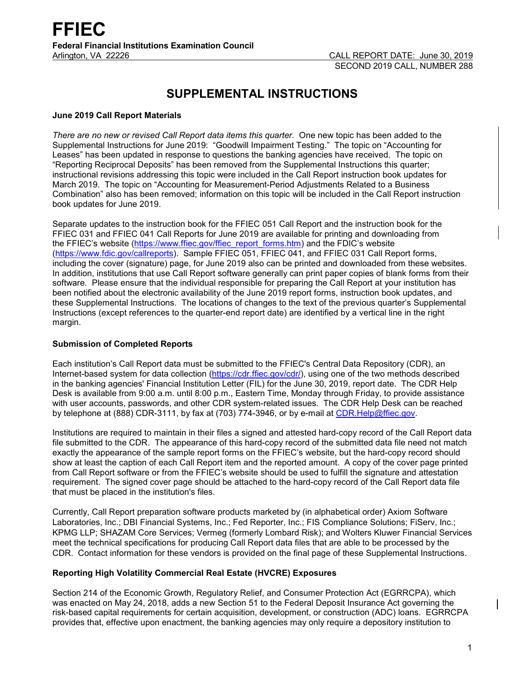# **SUPPLEMENTAL INSTRUCTIONS**

# **June 2019 Call Report Materials**

*There are no new or revised Call Report data items this quarter.* One new topic has been added to the Supplemental Instructions for June 2019: "Goodwill Impairment Testing." The topic on "Accounting for Leases" has been updated in response to questions the banking agencies have received. The topic on "Reporting Reciprocal Deposits" has been removed from the Supplemental Instructions this quarter; instructional revisions addressing this topic were included in the Call Report instruction book updates for March 2019. The topic on "Accounting for Measurement-Period Adjustments Related to a Business Combination" also has been removed; information on this topic will be included in the Call Report instruction book updates for June 2019.

Separate updates to the instruction book for the FFIEC 051 Call Report and the instruction book for the FFIEC 031 and FFIEC 041 Call Reports for June 2019 are available for printing and downloading from the FFIEC's website [\(https://www.ffiec.gov/ffiec\\_report\\_forms.htm\)](https://www.ffiec.gov/ffiec_report_forms.htm) and the FDIC's website [\(https://www.fdic.gov/callreports\)](https://www.fdic.gov/callreports). Sample FFIEC 051, FFIEC 041, and FFIEC 031 Call Report forms, including the cover (signature) page, for June 2019 also can be printed and downloaded from these websites. In addition, institutions that use Call Report software generally can print paper copies of blank forms from their software. Please ensure that the individual responsible for preparing the Call Report at your institution has been notified about the electronic availability of the June 2019 report forms, instruction book updates, and these Supplemental Instructions. The locations of changes to the text of the previous quarter's Supplemental Instructions (except references to the quarter-end report date) are identified by a vertical line in the right margin.

# **Submission of Completed Reports**

Each institution's Call Report data must be submitted to the FFIEC's Central Data Repository (CDR), an Internet-based system for data collection [\(https://cdr.ffiec.gov/cdr/\)](https://cdr.ffiec.gov/cdr/), using one of the two methods described in the banking agencies' Financial Institution Letter (FIL) for the June 30, 2019, report date. The CDR Help Desk is available from 9:00 a.m. until 8:00 p.m., Eastern Time, Monday through Friday, to provide assistance with user accounts, passwords, and other CDR system-related issues. The CDR Help Desk can be reached by telephone at (888) CDR-3111, by fax at (703) 774-3946, or by e-mail at CDR. Help@ffiec.gov.

Institutions are required to maintain in their files a signed and attested hard-copy record of the Call Report data file submitted to the CDR. The appearance of this hard-copy record of the submitted data file need not match exactly the appearance of the sample report forms on the FFIEC's website, but the hard-copy record should show at least the caption of each Call Report item and the reported amount. A copy of the cover page printed from Call Report software or from the FFIEC's website should be used to fulfill the signature and attestation requirement. The signed cover page should be attached to the hard-copy record of the Call Report data file that must be placed in the institution's files.

Currently, Call Report preparation software products marketed by (in alphabetical order) Axiom Software Laboratories, Inc.; DBI Financial Systems, Inc.; Fed Reporter, Inc.; FIS Compliance Solutions; FiServ, Inc.; KPMG LLP; SHAZAM Core Services; Vermeg (formerly Lombard Risk); and Wolters Kluwer Financial Services meet the technical specifications for producing Call Report data files that are able to be processed by the CDR. Contact information for these vendors is provided on the final page of these Supplemental Instructions.

# **Reporting High Volatility Commercial Real Estate (HVCRE) Exposures**

Section 214 of the Economic Growth, Regulatory Relief, and Consumer Protection Act (EGRRCPA), which was enacted on May 24, 2018, adds a new Section 51 to the Federal Deposit Insurance Act governing the risk-based capital requirements for certain acquisition, development, or construction (ADC) loans. EGRRCPA provides that, effective upon enactment, the banking agencies may only require a depository institution to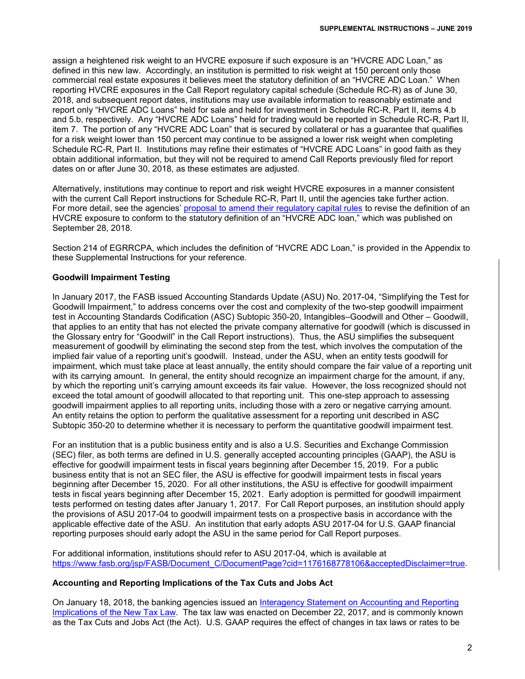assign a heightened risk weight to an HVCRE exposure if such exposure is an "HVCRE ADC Loan," as defined in this new law. Accordingly, an institution is permitted to risk weight at 150 percent only those commercial real estate exposures it believes meet the statutory definition of an "HVCRE ADC Loan." When reporting HVCRE exposures in the Call Report regulatory capital schedule (Schedule RC-R) as of June 30, 2018, and subsequent report dates, institutions may use available information to reasonably estimate and report only "HVCRE ADC Loans" held for sale and held for investment in Schedule RC-R, Part II, items 4.b and 5.b, respectively. Any "HVCRE ADC Loans" held for trading would be reported in Schedule RC-R, Part II, item 7. The portion of any "HVCRE ADC Loan" that is secured by collateral or has a guarantee that qualifies for a risk weight lower than 150 percent may continue to be assigned a lower risk weight when completing Schedule RC-R, Part II. Institutions may refine their estimates of "HVCRE ADC Loans" in good faith as they obtain additional information, but they will not be required to amend Call Reports previously filed for report dates on or after June 30, 2018, as these estimates are adjusted.

Alternatively, institutions may continue to report and risk weight HVCRE exposures in a manner consistent with the current Call Report instructions for Schedule RC-R, Part II, until the agencies take further action. For more detail, see the agencies' [proposal to amend their regulatory capital rules](https://www.govinfo.gov/content/pkg/FR-2018-09-28/pdf/2018-20875.pdf) to revise the definition of an HVCRE exposure to conform to the statutory definition of an "HVCRE ADC loan," which was published on September 28, 2018.

Section 214 of EGRRCPA, which includes the definition of "HVCRE ADC Loan," is provided in the Appendix to these Supplemental Instructions for your reference.

## **Goodwill Impairment Testing**

In January 2017, the FASB issued Accounting Standards Update (ASU) No. 2017-04, "Simplifying the Test for Goodwill Impairment," to address concerns over the cost and complexity of the two-step goodwill impairment test in Accounting Standards Codification (ASC) Subtopic 350-20, Intangibles–Goodwill and Other – Goodwill, that applies to an entity that has not elected the private company alternative for goodwill (which is discussed in the Glossary entry for "Goodwill" in the Call Report instructions). Thus, the ASU simplifies the subsequent measurement of goodwill by eliminating the second step from the test, which involves the computation of the implied fair value of a reporting unit's goodwill. Instead, under the ASU, when an entity tests goodwill for impairment, which must take place at least annually, the entity should compare the fair value of a reporting unit with its carrying amount. In general, the entity should recognize an impairment charge for the amount, if any, by which the reporting unit's carrying amount exceeds its fair value. However, the loss recognized should not exceed the total amount of goodwill allocated to that reporting unit. This one-step approach to assessing goodwill impairment applies to all reporting units, including those with a zero or negative carrying amount. An entity retains the option to perform the qualitative assessment for a reporting unit described in ASC Subtopic 350-20 to determine whether it is necessary to perform the quantitative goodwill impairment test.

For an institution that is a public business entity and is also a U.S. Securities and Exchange Commission (SEC) filer, as both terms are defined in U.S. generally accepted accounting principles (GAAP), the ASU is effective for goodwill impairment tests in fiscal years beginning after December 15, 2019. For a public business entity that is not an SEC filer, the ASU is effective for goodwill impairment tests in fiscal years beginning after December 15, 2020. For all other institutions, the ASU is effective for goodwill impairment tests in fiscal years beginning after December 15, 2021. Early adoption is permitted for goodwill impairment tests performed on testing dates after January 1, 2017. For Call Report purposes, an institution should apply the provisions of ASU 2017-04 to goodwill impairment tests on a prospective basis in accordance with the applicable effective date of the ASU. An institution that early adopts ASU 2017-04 for U.S. GAAP financial reporting purposes should early adopt the ASU in the same period for Call Report purposes.

For additional information, institutions should refer to ASU 2017-04, which is available at [https://www.fasb.org/jsp/FASB/Document\\_C/DocumentPage?cid=1176168778106&acceptedDisclaimer=true.](https://www.fasb.org/jsp/FASB/Document_C/DocumentPage?cid=1176168778106&acceptedDisclaimer=true)

#### **Accounting and Reporting Implications of the Tax Cuts and Jobs Act**

On January 18, 2018, the banking agencies issued an Interagency Statement on Accounting and Reporting [Implications of the New Tax Law.](https://www.fdic.gov/news/news/financial/2018/fil18006a.pdf) The tax law was enacted on December 22, 2017, and is commonly known as the Tax Cuts and Jobs Act (the Act). U.S. GAAP requires the effect of changes in tax laws or rates to be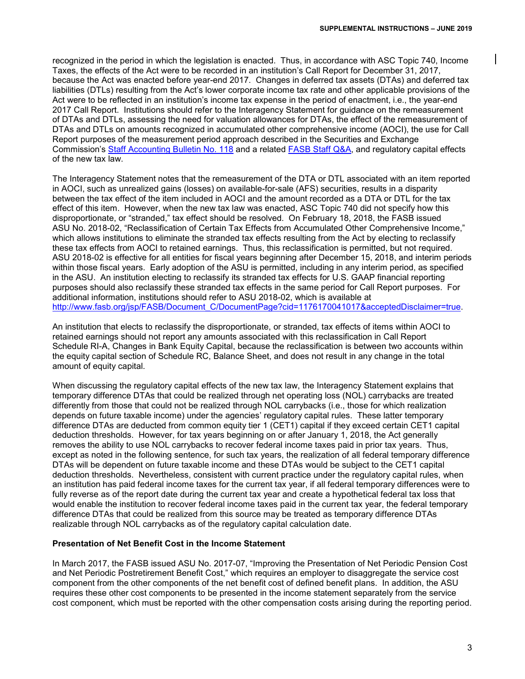recognized in the period in which the legislation is enacted. Thus, in accordance with ASC Topic 740, Income Taxes, the effects of the Act were to be recorded in an institution's Call Report for December 31, 2017, because the Act was enacted before year-end 2017. Changes in deferred tax assets (DTAs) and deferred tax liabilities (DTLs) resulting from the Act's lower corporate income tax rate and other applicable provisions of the Act were to be reflected in an institution's income tax expense in the period of enactment, i.e., the year-end 2017 Call Report. Institutions should refer to the Interagency Statement for guidance on the remeasurement of DTAs and DTLs, assessing the need for valuation allowances for DTAs, the effect of the remeasurement of DTAs and DTLs on amounts recognized in accumulated other comprehensive income (AOCI), the use for Call Report purposes of the measurement period approach described in the Securities and Exchange Commission's [Staff Accounting Bulletin No. 118](https://www.sec.gov/interps/account/staff-accounting-bulletin-118.htm) and a related FASB [Staff Q&A,](http://www.fasb.org/cs/ContentServer?c=Document_C&cid=1176169782120&d=&pagename=FASB%2FDocument_C%2FDocumentPage) and regulatory capital effects of the new tax law.

The Interagency Statement notes that the remeasurement of the DTA or DTL associated with an item reported in AOCI, such as unrealized gains (losses) on available-for-sale (AFS) securities, results in a disparity between the tax effect of the item included in AOCI and the amount recorded as a DTA or DTL for the tax effect of this item. However, when the new tax law was enacted, ASC Topic 740 did not specify how this disproportionate, or "stranded," tax effect should be resolved. On February 18, 2018, the FASB issued ASU No. 2018-02, "Reclassification of Certain Tax Effects from Accumulated Other Comprehensive Income," which allows institutions to eliminate the stranded tax effects resulting from the Act by electing to reclassify these tax effects from AOCI to retained earnings. Thus, this reclassification is permitted, but not required. ASU 2018-02 is effective for all entities for fiscal years beginning after December 15, 2018, and interim periods within those fiscal years. Early adoption of the ASU is permitted, including in any interim period, as specified in the ASU. An institution electing to reclassify its stranded tax effects for U.S. GAAP financial reporting purposes should also reclassify these stranded tax effects in the same period for Call Report purposes. For additional information, institutions should refer to ASU 2018-02, which is available at [http://www.fasb.org/jsp/FASB/Document\\_C/DocumentPage?cid=1176170041017&acceptedDisclaimer=true.](http://www.fasb.org/jsp/FASB/Document_C/DocumentPage?cid=1176170041017&acceptedDisclaimer=true)

An institution that elects to reclassify the disproportionate, or stranded, tax effects of items within AOCI to retained earnings should not report any amounts associated with this reclassification in Call Report Schedule RI-A, Changes in Bank Equity Capital, because the reclassification is between two accounts within the equity capital section of Schedule RC, Balance Sheet, and does not result in any change in the total amount of equity capital.

When discussing the regulatory capital effects of the new tax law, the Interagency Statement explains that temporary difference DTAs that could be realized through net operating loss (NOL) carrybacks are treated differently from those that could not be realized through NOL carrybacks (i.e., those for which realization depends on future taxable income) under the agencies' regulatory capital rules. These latter temporary difference DTAs are deducted from common equity tier 1 (CET1) capital if they exceed certain CET1 capital deduction thresholds. However, for tax years beginning on or after January 1, 2018, the Act generally removes the ability to use NOL carrybacks to recover federal income taxes paid in prior tax years. Thus, except as noted in the following sentence, for such tax years, the realization of all federal temporary difference DTAs will be dependent on future taxable income and these DTAs would be subject to the CET1 capital deduction thresholds. Nevertheless, consistent with current practice under the regulatory capital rules, when an institution has paid federal income taxes for the current tax year, if all federal temporary differences were to fully reverse as of the report date during the current tax year and create a hypothetical federal tax loss that would enable the institution to recover federal income taxes paid in the current tax year, the federal temporary difference DTAs that could be realized from this source may be treated as temporary difference DTAs realizable through NOL carrybacks as of the regulatory capital calculation date.

#### **Presentation of Net Benefit Cost in the Income Statement**

In March 2017, the FASB issued ASU No. 2017-07, "Improving the Presentation of Net Periodic Pension Cost and Net Periodic Postretirement Benefit Cost," which requires an employer to disaggregate the service cost component from the other components of the net benefit cost of defined benefit plans. In addition, the ASU requires these other cost components to be presented in the income statement separately from the service cost component, which must be reported with the other compensation costs arising during the reporting period.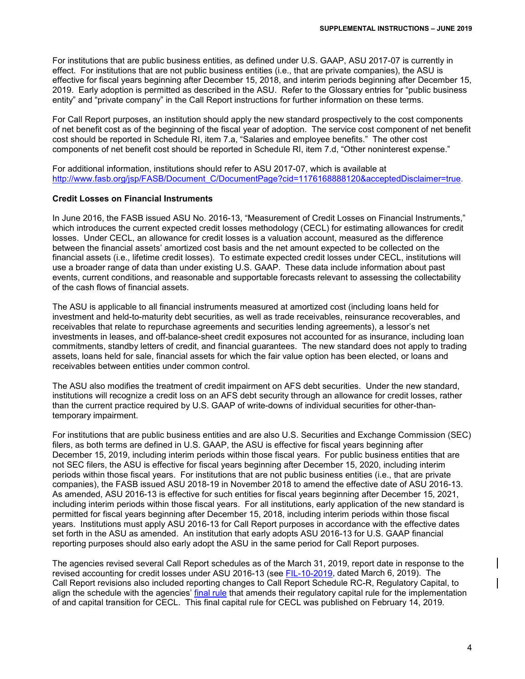For institutions that are public business entities, as defined under U.S. GAAP, ASU 2017-07 is currently in effect. For institutions that are not public business entities (i.e., that are private companies), the ASU is effective for fiscal years beginning after December 15, 2018, and interim periods beginning after December 15, 2019. Early adoption is permitted as described in the ASU. Refer to the Glossary entries for "public business entity" and "private company" in the Call Report instructions for further information on these terms.

For Call Report purposes, an institution should apply the new standard prospectively to the cost components of net benefit cost as of the beginning of the fiscal year of adoption. The service cost component of net benefit cost should be reported in Schedule RI, item 7.a, "Salaries and employee benefits." The other cost components of net benefit cost should be reported in Schedule RI, item 7.d, "Other noninterest expense."

For additional information, institutions should refer to ASU 2017-07, which is available at http://www.fasb.org/isp/FASB/Document\_C/DocumentPage?cid=1176168888120&acceptedDisclaimer=true.

#### **Credit Losses on Financial Instruments**

In June 2016, the FASB issued ASU No. 2016-13, "Measurement of Credit Losses on Financial Instruments," which introduces the current expected credit losses methodology (CECL) for estimating allowances for credit losses. Under CECL, an allowance for credit losses is a valuation account, measured as the difference between the financial assets' amortized cost basis and the net amount expected to be collected on the financial assets (i.e., lifetime credit losses). To estimate expected credit losses under CECL, institutions will use a broader range of data than under existing U.S. GAAP. These data include information about past events, current conditions, and reasonable and supportable forecasts relevant to assessing the collectability of the cash flows of financial assets.

The ASU is applicable to all financial instruments measured at amortized cost (including loans held for investment and held-to-maturity debt securities, as well as trade receivables, reinsurance recoverables, and receivables that relate to repurchase agreements and securities lending agreements), a lessor's net investments in leases, and off-balance-sheet credit exposures not accounted for as insurance, including loan commitments, standby letters of credit, and financial guarantees. The new standard does not apply to trading assets, loans held for sale, financial assets for which the fair value option has been elected, or loans and receivables between entities under common control.

The ASU also modifies the treatment of credit impairment on AFS debt securities. Under the new standard, institutions will recognize a credit loss on an AFS debt security through an allowance for credit losses, rather than the current practice required by U.S. GAAP of write-downs of individual securities for other-thantemporary impairment.

For institutions that are public business entities and are also U.S. Securities and Exchange Commission (SEC) filers, as both terms are defined in U.S. GAAP, the ASU is effective for fiscal years beginning after December 15, 2019, including interim periods within those fiscal years. For public business entities that are not SEC filers, the ASU is effective for fiscal years beginning after December 15, 2020, including interim periods within those fiscal years. For institutions that are not public business entities (i.e., that are private companies), the FASB issued ASU 2018-19 in November 2018 to amend the effective date of ASU 2016-13. As amended, ASU 2016-13 is effective for such entities for fiscal years beginning after December 15, 2021, including interim periods within those fiscal years. For all institutions, early application of the new standard is permitted for fiscal years beginning after December 15, 2018, including interim periods within those fiscal years. Institutions must apply ASU 2016-13 for Call Report purposes in accordance with the effective dates set forth in the ASU as amended. An institution that early adopts ASU 2016-13 for U.S. GAAP financial reporting purposes should also early adopt the ASU in the same period for Call Report purposes.

The agencies revised several Call Report schedules as of the March 31, 2019, report date in response to the revised accounting for credit losses under ASU 2016-13 (see [FIL-10-2019,](https://www.fdic.gov/news/news/financial/2019/fil19010.html) dated March 6, 2019). The Call Report revisions also included reporting changes to Call Report Schedule RC-R, Regulatory Capital, to align the schedule with the agencies' [final rule](https://www.govinfo.gov/content/pkg/FR-2019-02-14/pdf/2018-28281.pdf) that amends their regulatory capital rule for the implementation of and capital transition for CECL. This final capital rule for CECL was published on February 14, 2019.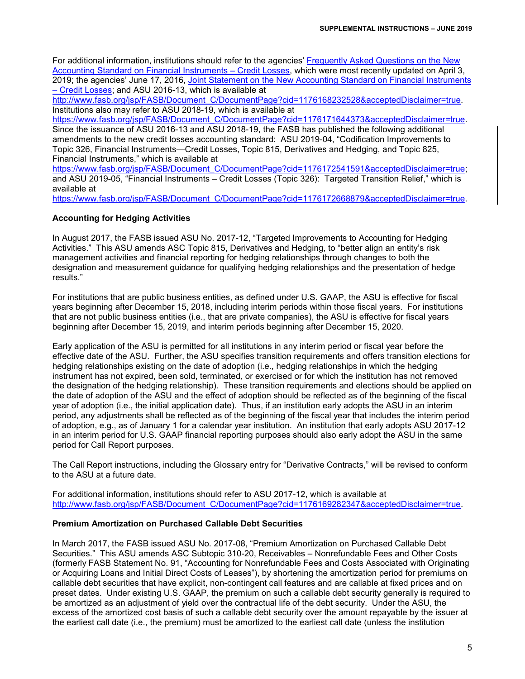For additional information, institutions should refer to the agencies' [Frequently Asked Questions on the New](https://www.fdic.gov/news/news/financial/2019/fil19020a.pdf)  [Accounting Standard on Financial Instruments –](https://www.fdic.gov/news/news/financial/2019/fil19020a.pdf) Credit Losses, which were most recently updated on April 3, 2019; the agencies' June 17, 2016, [Joint Statement on the New Accounting Standard on Financial Instruments](https://www.federalreserve.gov/newsevents/pressreleases/files/bcreg20160617b1.pdf)  – [Credit Losses;](https://www.federalreserve.gov/newsevents/pressreleases/files/bcreg20160617b1.pdf) and ASU 2016-13, which is available at

[http://www.fasb.org/jsp/FASB/Document\\_C/DocumentPage?cid=1176168232528&acceptedDisclaimer=true.](http://www.fasb.org/jsp/FASB/Document_C/DocumentPage?cid=1176168232528&acceptedDisclaimer=true) Institutions also may refer to ASU 2018-19, which is available at

[https://www.fasb.org/jsp/FASB/Document\\_C/DocumentPage?cid=1176171644373&acceptedDisclaimer=true.](https://www.fasb.org/jsp/FASB/Document_C/DocumentPage?cid=1176171644373&acceptedDisclaimer=true) Since the issuance of ASU 2016-13 and ASU 2018-19, the FASB has published the following additional amendments to the new credit losses accounting standard: ASU 2019-04, "Codification Improvements to Topic 326, Financial Instruments—Credit Losses, Topic 815, Derivatives and Hedging, and Topic 825, Financial Instruments," which is available at

[https://www.fasb.org/jsp/FASB/Document\\_C/DocumentPage?cid=1176172541591&acceptedDisclaimer=true;](https://www.fasb.org/jsp/FASB/Document_C/DocumentPage?cid=1176172541591&acceptedDisclaimer=true) and ASU 2019-05, "Financial Instruments – Credit Losses (Topic 326): Targeted Transition Relief," which is available at

https://www.fasb.org/isp/FASB/Document\_C/DocumentPage?cid=1176172668879&acceptedDisclaimer=true.

## **Accounting for Hedging Activities**

In August 2017, the FASB issued ASU No. 2017-12, "Targeted Improvements to Accounting for Hedging Activities." This ASU amends ASC Topic 815, Derivatives and Hedging, to "better align an entity's risk management activities and financial reporting for hedging relationships through changes to both the designation and measurement guidance for qualifying hedging relationships and the presentation of hedge results."

For institutions that are public business entities, as defined under U.S. GAAP, the ASU is effective for fiscal years beginning after December 15, 2018, including interim periods within those fiscal years. For institutions that are not public business entities (i.e., that are private companies), the ASU is effective for fiscal years beginning after December 15, 2019, and interim periods beginning after December 15, 2020.

Early application of the ASU is permitted for all institutions in any interim period or fiscal year before the effective date of the ASU. Further, the ASU specifies transition requirements and offers transition elections for hedging relationships existing on the date of adoption (i.e., hedging relationships in which the hedging instrument has not expired, been sold, terminated, or exercised or for which the institution has not removed the designation of the hedging relationship). These transition requirements and elections should be applied on the date of adoption of the ASU and the effect of adoption should be reflected as of the beginning of the fiscal year of adoption (i.e., the initial application date). Thus, if an institution early adopts the ASU in an interim period, any adjustments shall be reflected as of the beginning of the fiscal year that includes the interim period of adoption, e.g., as of January 1 for a calendar year institution. An institution that early adopts ASU 2017-12 in an interim period for U.S. GAAP financial reporting purposes should also early adopt the ASU in the same period for Call Report purposes.

The Call Report instructions, including the Glossary entry for "Derivative Contracts," will be revised to conform to the ASU at a future date.

For additional information, institutions should refer to ASU 2017-12, which is available at [http://www.fasb.org/jsp/FASB/Document\\_C/DocumentPage?cid=1176169282347&acceptedDisclaimer=true.](http://www.fasb.org/jsp/FASB/Document_C/DocumentPage?cid=1176169282347&acceptedDisclaimer=true)

# **Premium Amortization on Purchased Callable Debt Securities**

In March 2017, the FASB issued ASU No. 2017-08, "Premium Amortization on Purchased Callable Debt Securities." This ASU amends ASC Subtopic 310-20, Receivables – Nonrefundable Fees and Other Costs (formerly FASB Statement No. 91, "Accounting for Nonrefundable Fees and Costs Associated with Originating or Acquiring Loans and Initial Direct Costs of Leases"), by shortening the amortization period for premiums on callable debt securities that have explicit, non-contingent call features and are callable at fixed prices and on preset dates. Under existing U.S. GAAP, the premium on such a callable debt security generally is required to be amortized as an adjustment of yield over the contractual life of the debt security. Under the ASU, the excess of the amortized cost basis of such a callable debt security over the amount repayable by the issuer at the earliest call date (i.e., the premium) must be amortized to the earliest call date (unless the institution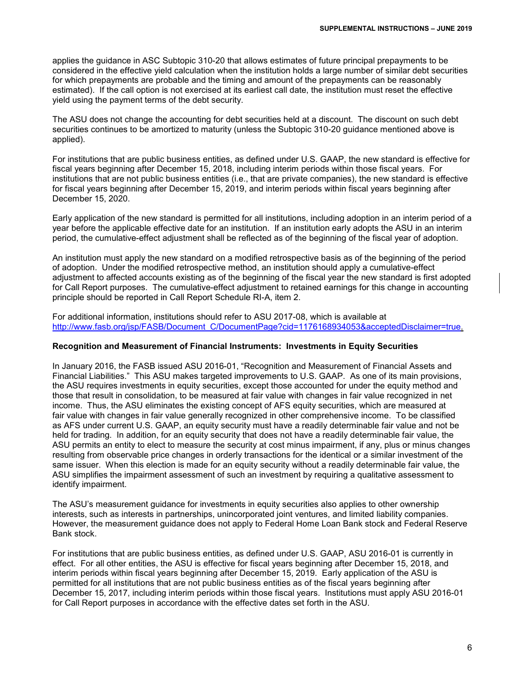applies the guidance in ASC Subtopic 310-20 that allows estimates of future principal prepayments to be considered in the effective yield calculation when the institution holds a large number of similar debt securities for which prepayments are probable and the timing and amount of the prepayments can be reasonably estimated). If the call option is not exercised at its earliest call date, the institution must reset the effective yield using the payment terms of the debt security.

The ASU does not change the accounting for debt securities held at a discount. The discount on such debt securities continues to be amortized to maturity (unless the Subtopic 310-20 guidance mentioned above is applied).

For institutions that are public business entities, as defined under U.S. GAAP, the new standard is effective for fiscal years beginning after December 15, 2018, including interim periods within those fiscal years. For institutions that are not public business entities (i.e., that are private companies), the new standard is effective for fiscal years beginning after December 15, 2019, and interim periods within fiscal years beginning after December 15, 2020.

Early application of the new standard is permitted for all institutions, including adoption in an interim period of a year before the applicable effective date for an institution. If an institution early adopts the ASU in an interim period, the cumulative-effect adjustment shall be reflected as of the beginning of the fiscal year of adoption.

An institution must apply the new standard on a modified retrospective basis as of the beginning of the period of adoption. Under the modified retrospective method, an institution should apply a cumulative-effect adjustment to affected accounts existing as of the beginning of the fiscal year the new standard is first adopted for Call Report purposes. The cumulative-effect adjustment to retained earnings for this change in accounting principle should be reported in Call Report Schedule RI-A, item 2.

For additional information, institutions should refer to ASU 2017-08, which is available at [http://www.fasb.org/jsp/FASB/Document\\_C/DocumentPage?cid=1176168934053&acceptedDisclaimer=true.](http://www.fasb.org/jsp/FASB/Document_C/DocumentPage?cid=1176168934053&acceptedDisclaimer=true)

#### **Recognition and Measurement of Financial Instruments: Investments in Equity Securities**

In January 2016, the FASB issued ASU 2016-01, "Recognition and Measurement of Financial Assets and Financial Liabilities." This ASU makes targeted improvements to U.S. GAAP. As one of its main provisions, the ASU requires investments in equity securities, except those accounted for under the equity method and those that result in consolidation, to be measured at fair value with changes in fair value recognized in net income. Thus, the ASU eliminates the existing concept of AFS equity securities, which are measured at fair value with changes in fair value generally recognized in other comprehensive income. To be classified as AFS under current U.S. GAAP, an equity security must have a readily determinable fair value and not be held for trading. In addition, for an equity security that does not have a readily determinable fair value, the ASU permits an entity to elect to measure the security at cost minus impairment, if any, plus or minus changes resulting from observable price changes in orderly transactions for the identical or a similar investment of the same issuer. When this election is made for an equity security without a readily determinable fair value, the ASU simplifies the impairment assessment of such an investment by requiring a qualitative assessment to identify impairment.

The ASU's measurement guidance for investments in equity securities also applies to other ownership interests, such as interests in partnerships, unincorporated joint ventures, and limited liability companies. However, the measurement guidance does not apply to Federal Home Loan Bank stock and Federal Reserve Bank stock.

For institutions that are public business entities, as defined under U.S. GAAP, ASU 2016-01 is currently in effect. For all other entities, the ASU is effective for fiscal years beginning after December 15, 2018, and interim periods within fiscal years beginning after December 15, 2019. Early application of the ASU is permitted for all institutions that are not public business entities as of the fiscal years beginning after December 15, 2017, including interim periods within those fiscal years. Institutions must apply ASU 2016-01 for Call Report purposes in accordance with the effective dates set forth in the ASU.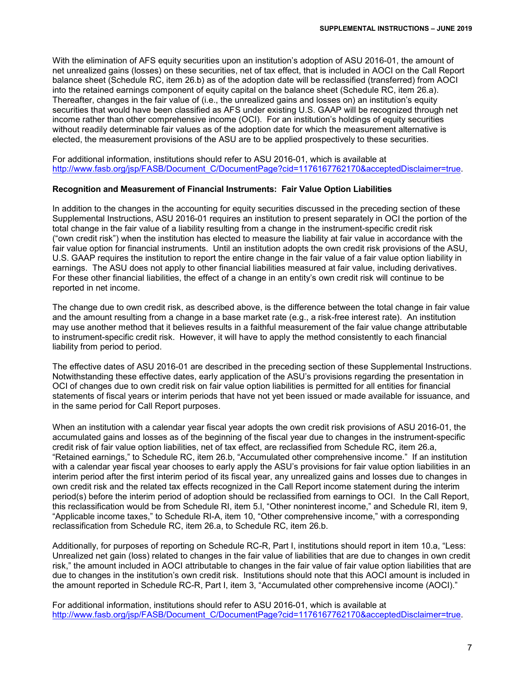With the elimination of AFS equity securities upon an institution's adoption of ASU 2016-01, the amount of net unrealized gains (losses) on these securities, net of tax effect, that is included in AOCI on the Call Report balance sheet (Schedule RC, item 26.b) as of the adoption date will be reclassified (transferred) from AOCI into the retained earnings component of equity capital on the balance sheet (Schedule RC, item 26.a). Thereafter, changes in the fair value of (i.e., the unrealized gains and losses on) an institution's equity securities that would have been classified as AFS under existing U.S. GAAP will be recognized through net income rather than other comprehensive income (OCI). For an institution's holdings of equity securities without readily determinable fair values as of the adoption date for which the measurement alternative is elected, the measurement provisions of the ASU are to be applied prospectively to these securities.

For additional information, institutions should refer to ASU 2016-01, which is available at [http://www.fasb.org/jsp/FASB/Document\\_C/DocumentPage?cid=1176167762170&acceptedDisclaimer=true.](http://www.fasb.org/jsp/FASB/Document_C/DocumentPage?cid=1176167762170&acceptedDisclaimer=true)

#### **Recognition and Measurement of Financial Instruments: Fair Value Option Liabilities**

In addition to the changes in the accounting for equity securities discussed in the preceding section of these Supplemental Instructions, ASU 2016-01 requires an institution to present separately in OCI the portion of the total change in the fair value of a liability resulting from a change in the instrument-specific credit risk ("own credit risk") when the institution has elected to measure the liability at fair value in accordance with the fair value option for financial instruments. Until an institution adopts the own credit risk provisions of the ASU, U.S. GAAP requires the institution to report the entire change in the fair value of a fair value option liability in earnings. The ASU does not apply to other financial liabilities measured at fair value, including derivatives. For these other financial liabilities, the effect of a change in an entity's own credit risk will continue to be reported in net income.

The change due to own credit risk, as described above, is the difference between the total change in fair value and the amount resulting from a change in a base market rate (e.g., a risk-free interest rate). An institution may use another method that it believes results in a faithful measurement of the fair value change attributable to instrument-specific credit risk. However, it will have to apply the method consistently to each financial liability from period to period.

The effective dates of ASU 2016-01 are described in the preceding section of these Supplemental Instructions. Notwithstanding these effective dates, early application of the ASU's provisions regarding the presentation in OCI of changes due to own credit risk on fair value option liabilities is permitted for all entities for financial statements of fiscal years or interim periods that have not yet been issued or made available for issuance, and in the same period for Call Report purposes.

When an institution with a calendar year fiscal year adopts the own credit risk provisions of ASU 2016-01, the accumulated gains and losses as of the beginning of the fiscal year due to changes in the instrument-specific credit risk of fair value option liabilities, net of tax effect, are reclassified from Schedule RC, item 26.a, "Retained earnings," to Schedule RC, item 26.b, "Accumulated other comprehensive income." If an institution with a calendar year fiscal year chooses to early apply the ASU's provisions for fair value option liabilities in an interim period after the first interim period of its fiscal year, any unrealized gains and losses due to changes in own credit risk and the related tax effects recognized in the Call Report income statement during the interim period(s) before the interim period of adoption should be reclassified from earnings to OCI. In the Call Report, this reclassification would be from Schedule RI, item 5.l, "Other noninterest income," and Schedule RI, item 9, "Applicable income taxes," to Schedule RI-A, item 10, "Other comprehensive income," with a corresponding reclassification from Schedule RC, item 26.a, to Schedule RC, item 26.b.

Additionally, for purposes of reporting on Schedule RC-R, Part I, institutions should report in item 10.a, "Less: Unrealized net gain (loss) related to changes in the fair value of liabilities that are due to changes in own credit risk," the amount included in AOCI attributable to changes in the fair value of fair value option liabilities that are due to changes in the institution's own credit risk. Institutions should note that this AOCI amount is included in the amount reported in Schedule RC-R, Part I, item 3, "Accumulated other comprehensive income (AOCI)."

For additional information, institutions should refer to ASU 2016-01, which is available at [http://www.fasb.org/jsp/FASB/Document\\_C/DocumentPage?cid=1176167762170&acceptedDisclaimer=true.](http://www.fasb.org/jsp/FASB/Document_C/DocumentPage?cid=1176167762170&acceptedDisclaimer=true)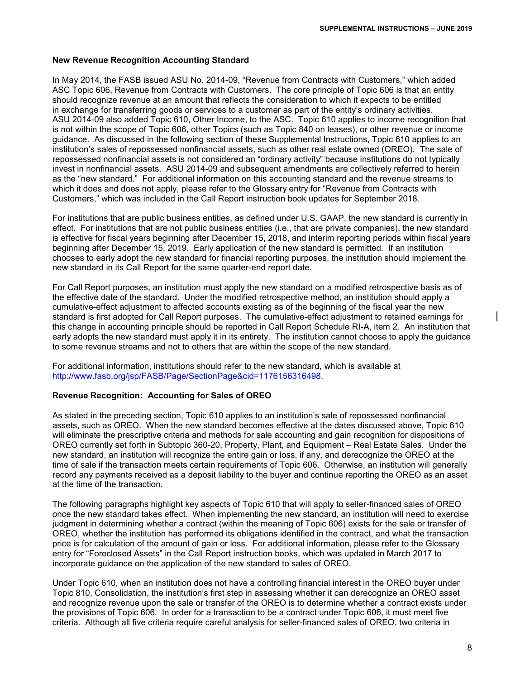#### **New Revenue Recognition Accounting Standard**

In May 2014, the FASB issued ASU No. 2014-09, "Revenue from Contracts with Customers," which added ASC Topic 606, Revenue from Contracts with Customers. The core principle of Topic 606 is that an entity should recognize revenue at an amount that reflects the consideration to which it expects to be entitled in exchange for transferring goods or services to a customer as part of the entity's ordinary activities. ASU 2014-09 also added Topic 610, Other Income, to the ASC. Topic 610 applies to income recognition that is not within the scope of Topic 606, other Topics (such as Topic 840 on leases), or other revenue or income guidance. As discussed in the following section of these Supplemental Instructions, Topic 610 applies to an institution's sales of repossessed nonfinancial assets, such as other real estate owned (OREO). The sale of repossessed nonfinancial assets is not considered an "ordinary activity" because institutions do not typically invest in nonfinancial assets. ASU 2014-09 and subsequent amendments are collectively referred to herein as the "new standard." For additional information on this accounting standard and the revenue streams to which it does and does not apply, please refer to the Glossary entry for "Revenue from Contracts with Customers," which was included in the Call Report instruction book updates for September 2018.

For institutions that are public business entities, as defined under U.S. GAAP, the new standard is currently in effect. For institutions that are not public business entities (i.e., that are private companies), the new standard is effective for fiscal years beginning after December 15, 2018, and interim reporting periods within fiscal years beginning after December 15, 2019. Early application of the new standard is permitted. If an institution chooses to early adopt the new standard for financial reporting purposes, the institution should implement the new standard in its Call Report for the same quarter-end report date.

For Call Report purposes, an institution must apply the new standard on a modified retrospective basis as of the effective date of the standard. Under the modified retrospective method, an institution should apply a cumulative-effect adjustment to affected accounts existing as of the beginning of the fiscal year the new standard is first adopted for Call Report purposes. The cumulative-effect adjustment to retained earnings for this change in accounting principle should be reported in Call Report Schedule RI-A, item 2. An institution that early adopts the new standard must apply it in its entirety. The institution cannot choose to apply the guidance to some revenue streams and not to others that are within the scope of the new standard.

For additional information, institutions should refer to the new standard, which is available at [http://www.fasb.org/jsp/FASB/Page/SectionPage&cid=1176156316498.](http://www.fasb.org/jsp/FASB/Page/SectionPage&cid=1176156316498)

#### **Revenue Recognition: Accounting for Sales of OREO**

As stated in the preceding section, Topic 610 applies to an institution's sale of repossessed nonfinancial assets, such as OREO. When the new standard becomes effective at the dates discussed above, Topic 610 will eliminate the prescriptive criteria and methods for sale accounting and gain recognition for dispositions of OREO currently set forth in Subtopic 360-20, Property, Plant, and Equipment – Real Estate Sales. Under the new standard, an institution will recognize the entire gain or loss, if any, and derecognize the OREO at the time of sale if the transaction meets certain requirements of Topic 606. Otherwise, an institution will generally record any payments received as a deposit liability to the buyer and continue reporting the OREO as an asset at the time of the transaction.

The following paragraphs highlight key aspects of Topic 610 that will apply to seller-financed sales of OREO once the new standard takes effect. When implementing the new standard, an institution will need to exercise judgment in determining whether a contract (within the meaning of Topic 606) exists for the sale or transfer of OREO, whether the institution has performed its obligations identified in the contract, and what the transaction price is for calculation of the amount of gain or loss. For additional information, please refer to the Glossary entry for "Foreclosed Assets" in the Call Report instruction books, which was updated in March 2017 to incorporate guidance on the application of the new standard to sales of OREO.

Under Topic 610, when an institution does not have a controlling financial interest in the OREO buyer under Topic 810, Consolidation, the institution's first step in assessing whether it can derecognize an OREO asset and recognize revenue upon the sale or transfer of the OREO is to determine whether a contract exists under the provisions of Topic 606. In order for a transaction to be a contract under Topic 606, it must meet five criteria. Although all five criteria require careful analysis for seller-financed sales of OREO, two criteria in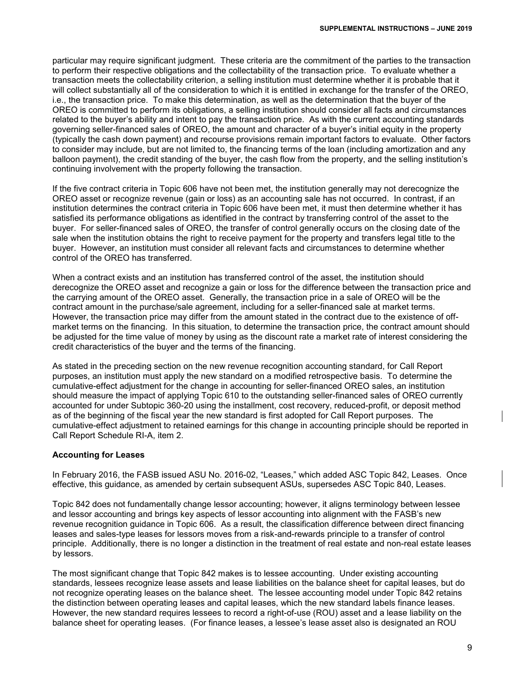particular may require significant judgment. These criteria are the commitment of the parties to the transaction to perform their respective obligations and the collectability of the transaction price. To evaluate whether a transaction meets the collectability criterion, a selling institution must determine whether it is probable that it will collect substantially all of the consideration to which it is entitled in exchange for the transfer of the OREO, i.e., the transaction price. To make this determination, as well as the determination that the buyer of the OREO is committed to perform its obligations, a selling institution should consider all facts and circumstances related to the buyer's ability and intent to pay the transaction price. As with the current accounting standards governing seller-financed sales of OREO, the amount and character of a buyer's initial equity in the property (typically the cash down payment) and recourse provisions remain important factors to evaluate. Other factors to consider may include, but are not limited to, the financing terms of the loan (including amortization and any balloon payment), the credit standing of the buyer, the cash flow from the property, and the selling institution's continuing involvement with the property following the transaction.

If the five contract criteria in Topic 606 have not been met, the institution generally may not derecognize the OREO asset or recognize revenue (gain or loss) as an accounting sale has not occurred. In contrast, if an institution determines the contract criteria in Topic 606 have been met, it must then determine whether it has satisfied its performance obligations as identified in the contract by transferring control of the asset to the buyer. For seller-financed sales of OREO, the transfer of control generally occurs on the closing date of the sale when the institution obtains the right to receive payment for the property and transfers legal title to the buyer. However, an institution must consider all relevant facts and circumstances to determine whether control of the OREO has transferred.

When a contract exists and an institution has transferred control of the asset, the institution should derecognize the OREO asset and recognize a gain or loss for the difference between the transaction price and the carrying amount of the OREO asset. Generally, the transaction price in a sale of OREO will be the contract amount in the purchase/sale agreement, including for a seller-financed sale at market terms. However, the transaction price may differ from the amount stated in the contract due to the existence of offmarket terms on the financing. In this situation, to determine the transaction price, the contract amount should be adjusted for the time value of money by using as the discount rate a market rate of interest considering the credit characteristics of the buyer and the terms of the financing.

As stated in the preceding section on the new revenue recognition accounting standard, for Call Report purposes, an institution must apply the new standard on a modified retrospective basis. To determine the cumulative-effect adjustment for the change in accounting for seller-financed OREO sales, an institution should measure the impact of applying Topic 610 to the outstanding seller-financed sales of OREO currently accounted for under Subtopic 360-20 using the installment, cost recovery, reduced-profit, or deposit method as of the beginning of the fiscal year the new standard is first adopted for Call Report purposes. The cumulative-effect adjustment to retained earnings for this change in accounting principle should be reported in Call Report Schedule RI-A, item 2.

#### **Accounting for Leases**

In February 2016, the FASB issued ASU No. 2016-02, "Leases," which added ASC Topic 842, Leases. Once effective, this guidance, as amended by certain subsequent ASUs, supersedes ASC Topic 840, Leases.

Topic 842 does not fundamentally change lessor accounting; however, it aligns terminology between lessee and lessor accounting and brings key aspects of lessor accounting into alignment with the FASB's new revenue recognition guidance in Topic 606. As a result, the classification difference between direct financing leases and sales-type leases for lessors moves from a risk-and-rewards principle to a transfer of control principle. Additionally, there is no longer a distinction in the treatment of real estate and non-real estate leases by lessors.

The most significant change that Topic 842 makes is to lessee accounting. Under existing accounting standards, lessees recognize lease assets and lease liabilities on the balance sheet for capital leases, but do not recognize operating leases on the balance sheet. The lessee accounting model under Topic 842 retains the distinction between operating leases and capital leases, which the new standard labels finance leases. However, the new standard requires lessees to record a right-of-use (ROU) asset and a lease liability on the balance sheet for operating leases. (For finance leases, a lessee's lease asset also is designated an ROU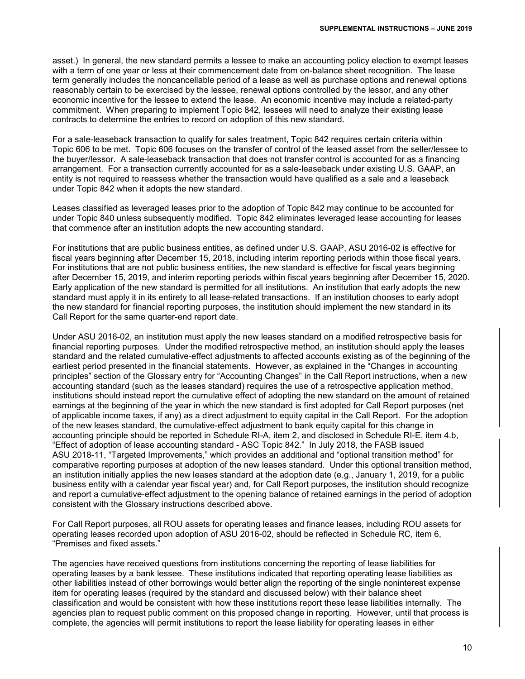asset.) In general, the new standard permits a lessee to make an accounting policy election to exempt leases with a term of one year or less at their commencement date from on-balance sheet recognition. The lease term generally includes the noncancellable period of a lease as well as purchase options and renewal options reasonably certain to be exercised by the lessee, renewal options controlled by the lessor, and any other economic incentive for the lessee to extend the lease. An economic incentive may include a related-party commitment. When preparing to implement Topic 842, lessees will need to analyze their existing lease contracts to determine the entries to record on adoption of this new standard.

For a sale-leaseback transaction to qualify for sales treatment, Topic 842 requires certain criteria within Topic 606 to be met. Topic 606 focuses on the transfer of control of the leased asset from the seller/lessee to the buyer/lessor. A sale-leaseback transaction that does not transfer control is accounted for as a financing arrangement. For a transaction currently accounted for as a sale-leaseback under existing U.S. GAAP, an entity is not required to reassess whether the transaction would have qualified as a sale and a leaseback under Topic 842 when it adopts the new standard.

Leases classified as leveraged leases prior to the adoption of Topic 842 may continue to be accounted for under Topic 840 unless subsequently modified. Topic 842 eliminates leveraged lease accounting for leases that commence after an institution adopts the new accounting standard.

For institutions that are public business entities, as defined under U.S. GAAP, ASU 2016-02 is effective for fiscal years beginning after December 15, 2018, including interim reporting periods within those fiscal years. For institutions that are not public business entities, the new standard is effective for fiscal years beginning after December 15, 2019, and interim reporting periods within fiscal years beginning after December 15, 2020. Early application of the new standard is permitted for all institutions. An institution that early adopts the new standard must apply it in its entirety to all lease-related transactions. If an institution chooses to early adopt the new standard for financial reporting purposes, the institution should implement the new standard in its Call Report for the same quarter-end report date.

Under ASU 2016-02, an institution must apply the new leases standard on a modified retrospective basis for financial reporting purposes. Under the modified retrospective method, an institution should apply the leases standard and the related cumulative-effect adjustments to affected accounts existing as of the beginning of the earliest period presented in the financial statements. However, as explained in the "Changes in accounting principles" section of the Glossary entry for "Accounting Changes" in the Call Report instructions, when a new accounting standard (such as the leases standard) requires the use of a retrospective application method, institutions should instead report the cumulative effect of adopting the new standard on the amount of retained earnings at the beginning of the year in which the new standard is first adopted for Call Report purposes (net of applicable income taxes, if any) as a direct adjustment to equity capital in the Call Report. For the adoption of the new leases standard, the cumulative-effect adjustment to bank equity capital for this change in accounting principle should be reported in Schedule RI-A, item 2, and disclosed in Schedule RI-E, item 4.b, "Effect of adoption of lease accounting standard - ASC Topic 842." In July 2018, the FASB issued ASU 2018-11, "Targeted Improvements," which provides an additional and "optional transition method" for comparative reporting purposes at adoption of the new leases standard. Under this optional transition method, an institution initially applies the new leases standard at the adoption date (e.g., January 1, 2019, for a public business entity with a calendar year fiscal year) and, for Call Report purposes, the institution should recognize and report a cumulative-effect adjustment to the opening balance of retained earnings in the period of adoption consistent with the Glossary instructions described above.

For Call Report purposes, all ROU assets for operating leases and finance leases, including ROU assets for operating leases recorded upon adoption of ASU 2016-02, should be reflected in Schedule RC, item 6, "Premises and fixed assets."

The agencies have received questions from institutions concerning the reporting of lease liabilities for operating leases by a bank lessee. These institutions indicated that reporting operating lease liabilities as other liabilities instead of other borrowings would better align the reporting of the single noninterest expense item for operating leases (required by the standard and discussed below) with their balance sheet classification and would be consistent with how these institutions report these lease liabilities internally. The agencies plan to request public comment on this proposed change in reporting. However, until that process is complete, the agencies will permit institutions to report the lease liability for operating leases in either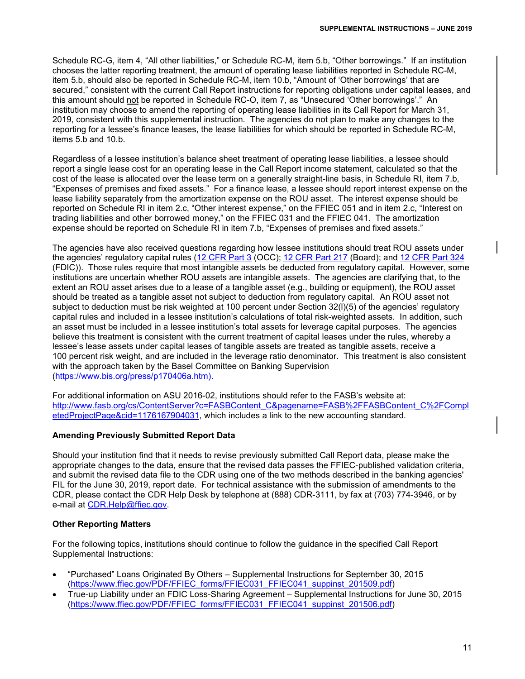Schedule RC-G, item 4, "All other liabilities," or Schedule RC-M, item 5.b, "Other borrowings." If an institution chooses the latter reporting treatment, the amount of operating lease liabilities reported in Schedule RC-M, item 5.b, should also be reported in Schedule RC-M, item 10.b, "Amount of 'Other borrowings' that are secured," consistent with the current Call Report instructions for reporting obligations under capital leases, and this amount should not be reported in Schedule RC-O, item 7, as "Unsecured 'Other borrowings'." An institution may choose to amend the reporting of operating lease liabilities in its Call Report for March 31, 2019, consistent with this supplemental instruction. The agencies do not plan to make any changes to the reporting for a lessee's finance leases, the lease liabilities for which should be reported in Schedule RC-M, items 5.b and 10.b.

Regardless of a lessee institution's balance sheet treatment of operating lease liabilities, a lessee should report a single lease cost for an operating lease in the Call Report income statement, calculated so that the cost of the lease is allocated over the lease term on a generally straight-line basis, in Schedule RI, item 7.b, "Expenses of premises and fixed assets." For a finance lease, a lessee should report interest expense on the lease liability separately from the amortization expense on the ROU asset. The interest expense should be reported on Schedule RI in item 2.c, "Other interest expense," on the FFIEC 051 and in item 2.c, "Interest on trading liabilities and other borrowed money," on the FFIEC 031 and the FFIEC 041. The amortization expense should be reported on Schedule RI in item 7.b, "Expenses of premises and fixed assets."

The agencies have also received questions regarding how lessee institutions should treat ROU assets under the agencies' regulatory capital rules [\(12 CFR Part 3](https://www.ecfr.gov/cgi-bin/text-idx?SID=6a4386753d17214d1170526af6423e67&mc=true&node=pt12.1.3&rgn=div5) (OCC); [12 CFR Part 217](https://www.ecfr.gov/cgi-bin/text-idx?SID=6a4386753d17214d1170526af6423e67&mc=true&node=pt12.2.217&rgn=div5) (Board); and [12 CFR Part 324](https://www.ecfr.gov/cgi-bin/text-idx?SID=6a4386753d17214d1170526af6423e67&mc=true&node=pt12.5.324&rgn=div5) (FDIC)). Those rules require that most intangible assets be deducted from regulatory capital. However, some institutions are uncertain whether ROU assets are intangible assets. The agencies are clarifying that, to the extent an ROU asset arises due to a lease of a tangible asset (e.g., building or equipment), the ROU asset should be treated as a tangible asset not subject to deduction from regulatory capital. An ROU asset not subject to deduction must be risk weighted at 100 percent under Section 32(l)(5) of the agencies' regulatory capital rules and included in a lessee institution's calculations of total risk-weighted assets. In addition, such an asset must be included in a lessee institution's total assets for leverage capital purposes. The agencies believe this treatment is consistent with the current treatment of capital leases under the rules, whereby a lessee's lease assets under capital leases of tangible assets are treated as tangible assets, receive a 100 percent risk weight, and are included in the leverage ratio denominator. This treatment is also consistent with the approach taken by the Basel Committee on Banking Supervision [\(https://www.bis.org/press/p170406a.htm\)](https://www.bis.org/press/p170406a.htm).

For additional information on ASU 2016-02, institutions should refer to the FASB's website at: [http://www.fasb.org/cs/ContentServer?c=FASBContent\\_C&pagename=FASB%2FFASBContent\\_C%2FCompl](http://www.fasb.org/cs/ContentServer?c=FASBContent_C&pagename=FASB%2FFASBContent_C%2FCompletedProjectPage&cid=1176167904031) [etedProjectPage&cid=1176167904031,](http://www.fasb.org/cs/ContentServer?c=FASBContent_C&pagename=FASB%2FFASBContent_C%2FCompletedProjectPage&cid=1176167904031) which includes a link to the new accounting standard.

#### **Amending Previously Submitted Report Data**

Should your institution find that it needs to revise previously submitted Call Report data, please make the appropriate changes to the data, ensure that the revised data passes the FFIEC-published validation criteria, and submit the revised data file to the CDR using one of the two methods described in the banking agencies' FIL for the June 30, 2019, report date. For technical assistance with the submission of amendments to the CDR, please contact the CDR Help Desk by telephone at (888) CDR-3111, by fax at (703) 774-3946, or by e-mail at [CDR.Help@ffiec.gov.](mailto:CDR.Help@ffiec.gov)

#### **Other Reporting Matters**

For the following topics, institutions should continue to follow the guidance in the specified Call Report Supplemental Instructions:

- "Purchased" Loans Originated By Others Supplemental Instructions for September 30, 2015 [\(https://www.ffiec.gov/PDF/FFIEC\\_forms/FFIEC031\\_FFIEC041\\_suppinst\\_201509.pdf\)](https://www.ffiec.gov/PDF/FFIEC_forms/FFIEC031_FFIEC041_suppinst_201509.pdf)
- True-up Liability under an FDIC Loss-Sharing Agreement Supplemental Instructions for June 30, 2015 [\(https://www.ffiec.gov/PDF/FFIEC\\_forms/FFIEC031\\_FFIEC041\\_suppinst\\_201506.pdf\)](https://www.ffiec.gov/PDF/FFIEC_forms/FFIEC031_FFIEC041_suppinst_201506.pdf)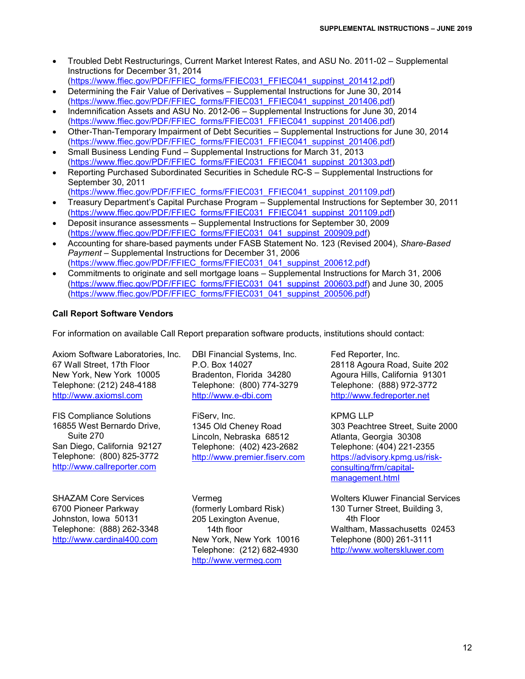- Troubled Debt Restructurings, Current Market Interest Rates, and ASU No. 2011-02 Supplemental Instructions for December 31, 2014
- [\(https://www.ffiec.gov/PDF/FFIEC\\_forms/FFIEC031\\_FFIEC041\\_suppinst\\_201412.pdf\)](https://www.ffiec.gov/PDF/FFIEC_forms/FFIEC031_FFIEC041_suppinst_201412.pdf) • Determining the Fair Value of Derivatives – Supplemental Instructions for June 30, 2014
- [\(https://www.ffiec.gov/PDF/FFIEC\\_forms/FFIEC031\\_FFIEC041\\_suppinst\\_201406.pdf\)](https://www.ffiec.gov/PDF/FFIEC_forms/FFIEC031_FFIEC041_suppinst_201406.pdf) • Indemnification Assets and ASU No. 2012-06 – Supplemental Instructions for June 30, 2014 [\(https://www.ffiec.gov/PDF/FFIEC\\_forms/FFIEC031\\_FFIEC041\\_suppinst\\_201406.pdf\)](https://www.ffiec.gov/PDF/FFIEC_forms/FFIEC031_FFIEC041_suppinst_201406.pdf)
- Other-Than-Temporary Impairment of Debt Securities Supplemental Instructions for June 30, 2014 [\(https://www.ffiec.gov/PDF/FFIEC\\_forms/FFIEC031\\_FFIEC041\\_suppinst\\_201406.pdf\)](https://www.ffiec.gov/PDF/FFIEC_forms/FFIEC031_FFIEC041_suppinst_201406.pdf)
- Small Business Lending Fund Supplemental Instructions for March 31, 2013 [\(https://www.ffiec.gov/PDF/FFIEC\\_forms/FFIEC031\\_FFIEC041\\_suppinst\\_201303.pdf\)](https://www.ffiec.gov/PDF/FFIEC_forms/FFIEC031_FFIEC041_suppinst_201303.pdf)
- Reporting Purchased Subordinated Securities in Schedule RC-S Supplemental Instructions for September 30, 2011 [\(https://www.ffiec.gov/PDF/FFIEC\\_forms/FFIEC031\\_FFIEC041\\_suppinst\\_201109.pdf\)](https://www.ffiec.gov/PDF/FFIEC_forms/FFIEC031_FFIEC041_suppinst_201109.pdf)
- Treasury Department's Capital Purchase Program Supplemental Instructions for September 30, 2011 [\(https://www.ffiec.gov/PDF/FFIEC\\_forms/FFIEC031\\_FFIEC041\\_suppinst\\_201109.pdf\)](https://www.ffiec.gov/PDF/FFIEC_forms/FFIEC031_FFIEC041_suppinst_201109.pdf)
- Deposit insurance assessments Supplemental Instructions for September 30, 2009 [\(https://www.ffiec.gov/PDF/FFIEC\\_forms/FFIEC031\\_041\\_suppinst\\_200909.pdf\)](https://www.ffiec.gov/PDF/FFIEC_forms/FFIEC031_041_suppinst_200909.pdf)
- Accounting for share-based payments under FASB Statement No. 123 (Revised 2004), *Share-Based Payment* – Supplemental Instructions for December 31, 2006 [\(https://www.ffiec.gov/PDF/FFIEC\\_forms/FFIEC031\\_041\\_suppinst\\_200612.pdf\)](https://www.ffiec.gov/PDF/FFIEC_forms/FFIEC031_041_suppinst_200612.pdf)
- Commitments to originate and sell mortgage loans Supplemental Instructions for March 31, 2006 [\(https://www.ffiec.gov/PDF/FFIEC\\_forms/FFIEC031\\_041\\_suppinst\\_200603.pdf\)](https://www.ffiec.gov/PDF/FFIEC_forms/FFIEC031_041_suppinst_200603.pdf) and June 30, 2005 [\(https://www.ffiec.gov/PDF/FFIEC\\_forms/FFIEC031\\_041\\_suppinst\\_200506.pdf\)](https://www.ffiec.gov/PDF/FFIEC_forms/FFIEC031_041_suppinst_200506.pdf)

# **Call Report Software Vendors**

For information on available Call Report preparation software products, institutions should contact:

Axiom Software Laboratories, Inc. 67 Wall Street, 17th Floor New York, New York 10005 Telephone: (212) 248-4188 [http://www.axiomsl.com](http://www.axiomsl.com/)

FIS Compliance Solutions 16855 West Bernardo Drive, Suite 270 San Diego, California 92127 Telephone: (800) 825-3772 [http://www.callreporter.com](http://www.callreporter.com/)

SHAZAM Core Services 6700 Pioneer Parkway Johnston, Iowa 50131 Telephone: (888) 262-3348 [http://www.cardinal400.com](http://www.cardinal400.com/)

DBI Financial Systems, Inc. P.O. Box 14027 Bradenton, Florida 34280 Telephone: (800) 774-3279 [http://www.e-dbi.com](http://www.e-dbi.com/)

FiServ, Inc. 1345 Old Cheney Road Lincoln, Nebraska 68512 Telephone: (402) 423-2682 [http://www.premier.fiserv.com](http://www.premier.fiserv.com/)

Vermeg (formerly Lombard Risk) 205 Lexington Avenue, 14th floor New York, New York 10016 Telephone: (212) 682-4930 [http://www.vermeg.com](http://www.vermeg.com/)

Fed Reporter, Inc. 28118 Agoura Road, Suite 202 Agoura Hills, California 91301 Telephone: (888) 972-3772 [http://www.fedreporter.net](http://www.fedreporter.net/)

KPMG LLP 303 Peachtree Street, Suite 2000 Atlanta, Georgia 30308 Telephone: (404) 221-2355 [https://advisory.kpmg.us/risk](https://advisory.kpmg.us/risk-consulting/frm/capital-management.html)[consulting/frm/capital](https://advisory.kpmg.us/risk-consulting/frm/capital-management.html)[management.html](https://advisory.kpmg.us/risk-consulting/frm/capital-management.html)

Wolters Kluwer Financial Services 130 Turner Street, Building 3, 4th Floor Waltham, Massachusetts 02453 Telephone (800) 261-3111 [http://www.wolterskluwer.com](http://www.wolterskluwer.com/)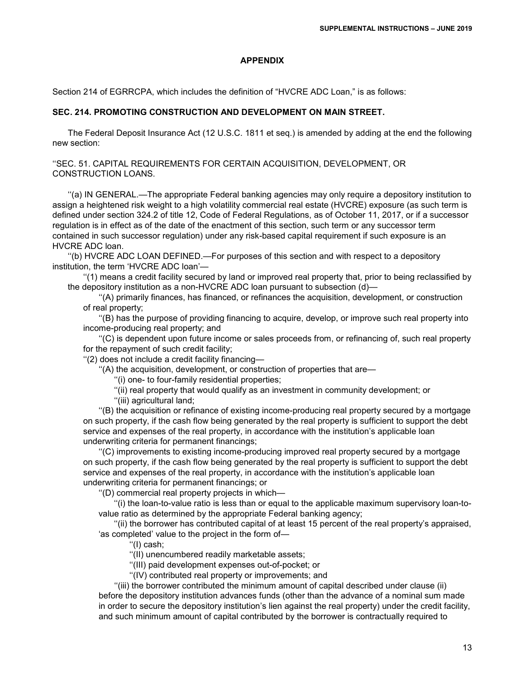#### **APPENDIX**

Section 214 of EGRRCPA, which includes the definition of "HVCRE ADC Loan," is as follows:

#### **SEC. 214. PROMOTING CONSTRUCTION AND DEVELOPMENT ON MAIN STREET.**

The Federal Deposit Insurance Act (12 U.S.C. 1811 et seq.) is amended by adding at the end the following new section:

''SEC. 51. CAPITAL REQUIREMENTS FOR CERTAIN ACQUISITION, DEVELOPMENT, OR CONSTRUCTION LOANS.

''(a) IN GENERAL.—The appropriate Federal banking agencies may only require a depository institution to assign a heightened risk weight to a high volatility commercial real estate (HVCRE) exposure (as such term is defined under section 324.2 of title 12, Code of Federal Regulations, as of October 11, 2017, or if a successor regulation is in effect as of the date of the enactment of this section, such term or any successor term contained in such successor regulation) under any risk-based capital requirement if such exposure is an HVCRE ADC loan.

''(b) HVCRE ADC LOAN DEFINED.—For purposes of this section and with respect to a depository institution, the term 'HVCRE ADC loan'—

''(1) means a credit facility secured by land or improved real property that, prior to being reclassified by the depository institution as a non-HVCRE ADC loan pursuant to subsection (d)—

''(A) primarily finances, has financed, or refinances the acquisition, development, or construction of real property;

''(B) has the purpose of providing financing to acquire, develop, or improve such real property into income-producing real property; and

''(C) is dependent upon future income or sales proceeds from, or refinancing of, such real property for the repayment of such credit facility;

''(2) does not include a credit facility financing—

''(A) the acquisition, development, or construction of properties that are—

''(i) one- to four-family residential properties;

''(ii) real property that would qualify as an investment in community development; or

''(iii) agricultural land;

''(B) the acquisition or refinance of existing income-producing real property secured by a mortgage on such property, if the cash flow being generated by the real property is sufficient to support the debt service and expenses of the real property, in accordance with the institution's applicable loan underwriting criteria for permanent financings;

''(C) improvements to existing income-producing improved real property secured by a mortgage on such property, if the cash flow being generated by the real property is sufficient to support the debt service and expenses of the real property, in accordance with the institution's applicable loan underwriting criteria for permanent financings; or

''(D) commercial real property projects in which—

''(i) the loan-to-value ratio is less than or equal to the applicable maximum supervisory loan-tovalue ratio as determined by the appropriate Federal banking agency;

''(ii) the borrower has contributed capital of at least 15 percent of the real property's appraised, 'as completed' value to the project in the form of—

''(I) cash;

''(II) unencumbered readily marketable assets;

''(III) paid development expenses out-of-pocket; or

''(IV) contributed real property or improvements; and

''(iii) the borrower contributed the minimum amount of capital described under clause (ii) before the depository institution advances funds (other than the advance of a nominal sum made in order to secure the depository institution's lien against the real property) under the credit facility, and such minimum amount of capital contributed by the borrower is contractually required to